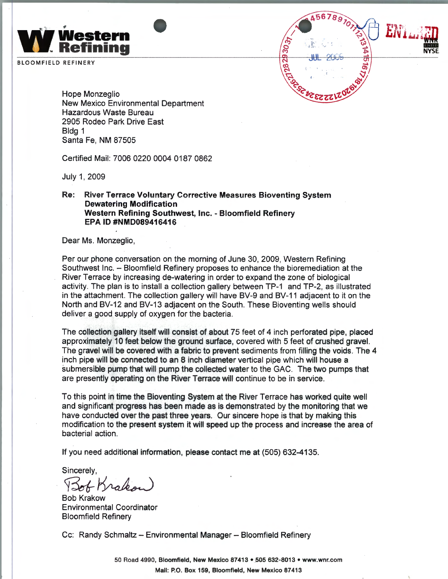

BLOOMFIELD REFINERY



Hope Monzeglio New Mexico Environmental Department Hazardous Waste Bureau 2905 Rodeo Park Drive East Bldg 1 Santa Fe, NM 87505

Certified Mail: 7006 0220 0004 0187 0862

July 1, 2009

## **Re: River Terrace Voluntary Corrective Measures Bioventing System Dewatering Modification Western Refining Southwest, Inc.** - **Bloomfield Refinery EPA ID #NMD089416416**

Dear Ms. Monzeglio,

Per our phone conversation on the morning of June 30, 2009, Western Refining Southwest Inc. - Bloomfield Refinery proposes to enhance the bioremediation at the River Terrace by increasing de-watering in order to expand the zone of biological activity. The plan is to install a collection gallery between TP-1 and TP-2, as illustrated in the attachment. The collection gallery will have BV-9 and BV-11 adjacent to it on the North and BV-12 and BV-13 adjacent on the South. These Bioventing wells should deliver a good supply of oxygen for the bacteria.

The collection gallery itself will consist of about 75 feet of 4 inch perforated pipe, placed approximately 10 feet below the ground surface, covered with 5 feet of crushed gravel. The gravel will be covered with a fabric to prevent sediments from filling the voids. The 4 inch pipe will be connected to an 8 inch diameter vertical pipe which will house a submersible pump that will pump the collected water to the GAC. The two pumps that are presently operating on the River Terrace will continue to be in service.

To this point in time the Bioventing System at the River Terrace has worked quite well and significant progress has been made as is demonstrated by the monitoring that we have conducted over the past three years. Our sincere hope is that by making this modification to the present system it will speed up the process and increase the area of bacterial action.

If you need additional information, please contact me at (505) 632-4135.

Sincerely,

Sof Krakou

**Bob Krakow** Environmental Coordinator Bloomfield Refinery

Cc: Randy Schmaltz - Environmental Manager - Bloomfield Refinery

50 Road 4990, Bloomfield, New Mexico 87413 • 505 632-8013 • www.wnr.com Mail: P.O. Box 159, Bloomfield, New Mexico 87413